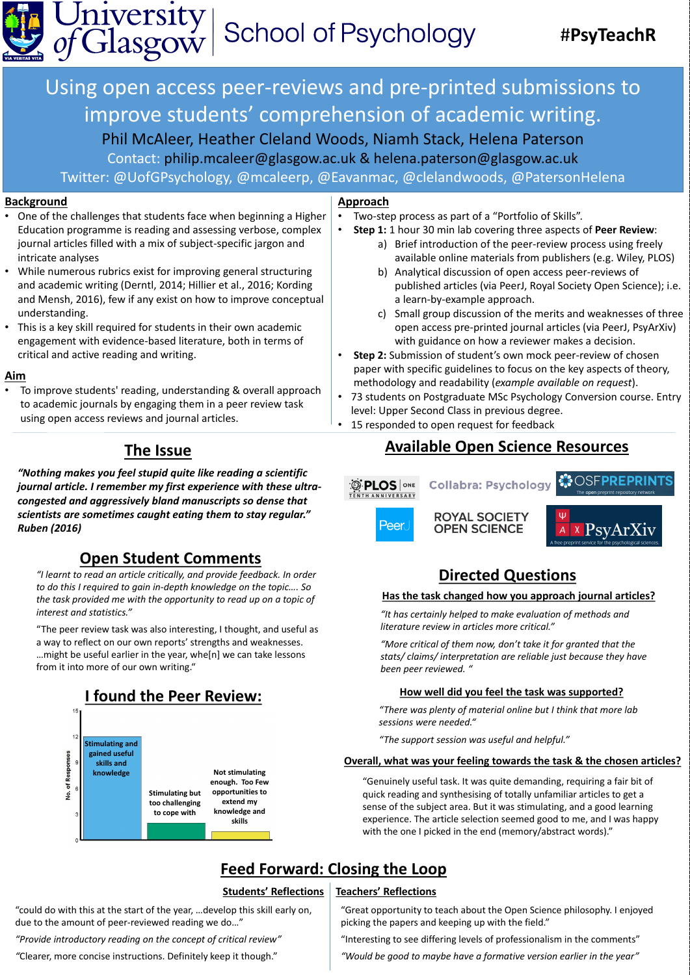Using open access peer-reviews and pre-printed submissions to improve students' comprehension of academic writing. Phil McAleer, Heather Cleland Woods, Niamh Stack, Helena Paterson Contact: philip.mcaleer@glasgow.ac.uk & helena.paterson@glasgow.ac.uk Twitter: @UofGPsychology, @mcaleerp, @Eavanmac, @clelandwoods, @PatersonHelena

#### **Background**

- b) Analytical discussion of open access peer-reviews of published articles (via PeerJ, Royal Society Open Science); i.e. a learn-by-example approach.
- c) Small group discussion of the merits and weaknesses of three open access pre-printed journal articles (via PeerJ, PsyArXiv) with guidance on how a reviewer makes a decision.
- **Step 2:** Submission of student's own mock peer-review of chosen paper with specific guidelines to focus on the key aspects of theory, methodology and readability (*example available on request*).
- 73 students on Postgraduate MSc Psychology Conversion course. Entry level: Upper Second Class in previous degree.
- 15 responded to open request for feedback

• One of the challenges that students face when beginning a Higher Education programme is reading and assessing verbose, complex journal articles filled with a mix of subject-specific jargon and intricate analyses • While numerous rubrics exist for improving general structuring and academic writing (Derntl, 2014; Hillier et al., 2016; Kording and Mensh, 2016), few if any exist on how to improve conceptual understanding. • This is a key skill required for students in their own academic engagement with evidence-based literature, both in terms of critical and active reading and writing.

### **Approach**

- Two-step process as part of a "Portfolio of Skills".
- **Step 1:** 1 hour 30 min lab covering three aspects of **Peer Review**:
	- a) Brief introduction of the peer-review process using freely available online materials from publishers (e.g. Wiley, PLOS)

"Genuinely useful task. It was quite demanding, requiring a fair bit of quick reading and synthesising of totally unfamiliar articles to get a sense of the subject area. But it was stimulating, and a good learning experience. The article selection seemed good to me, and I was happy with the one I picked in the end (memory/abstract words)."

#### **Aim**

• To improve students' reading, understanding & overall approach to academic journals by engaging them in a peer review task using open access reviews and journal articles.

*"Nothing makes you feel stupid quite like reading a scientific journal article. I remember my first experience with these ultracongested and aggressively bland manuscripts so dense that scientists are sometimes caught eating them to stay regular."* 

*Ruben (2016)*



 $\Psi$ 

# **The Issue Available Open Science Resources**





### **Open Student Comments**

*"I learnt to read an article critically, and provide feedback. In order to do this I required to gain in-depth knowledge on the topic…. So the task provided me with the opportunity to read up on a topic of interest and statistics."*

"The peer review task was also interesting, I thought, and useful as a way to reflect on our own reports' strengths and weaknesses. …might be useful earlier in the year, whe[n] we can take lessons from it into more of our own writing."

#### **Has the task changed how you approach journal articles?**

#### **How well did you feel the task was supported?**

## **Feed Forward: Closing the Loop**

#### **Overall, what was your feeling towards the task & the chosen articles?**

### **Directed Questions**

*"There was plenty of material online but I think that more lab sessions were needed."*

*"The support session was useful and helpful."*

*"It has certainly helped to make evaluation of methods and literature review in articles more critical."*

*"More critical of them now, don't take it for granted that the stats/ claims/ interpretation are reliable just because they have been peer reviewed. "*

"could do with this at the start of the year, …develop this skill early on, due to the amount of peer-reviewed reading we do…"

*"Provide introductory reading on the concept of critical review"*

*"*Clearer, more concise instructions. Definitely keep it though."

#### **Students' Reflections Teachers' Reflections**

"Great opportunity to teach about the Open Science philosophy. I enjoyed picking the papers and keeping up with the field."

"Interesting to see differing levels of professionalism in the comments"

*"Would be good to maybe have a formative version earlier in the year"*





# #**PsyTeachR**